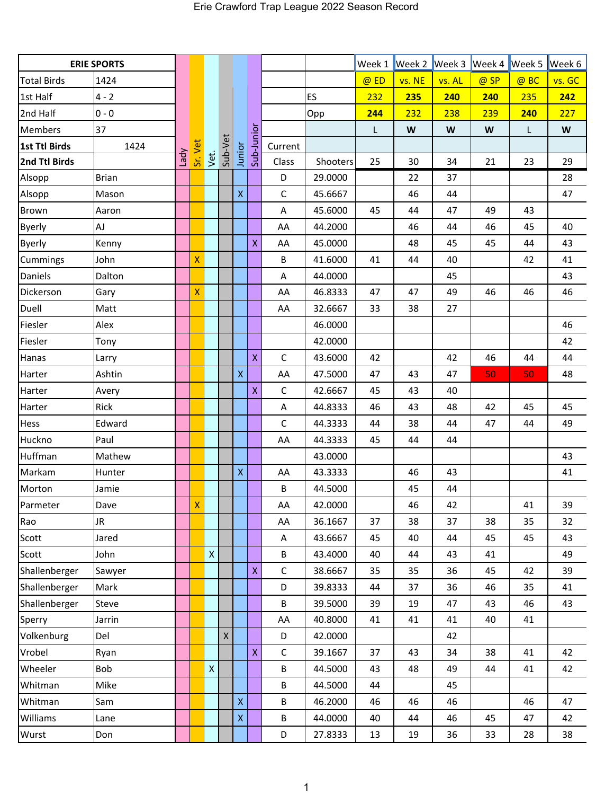| <b>ERIE SPORTS</b>   |              |      |                    |                    |              |                    |                         |                         |          |        |        | Week 1 Week 2 Week 3 Week 4 |      | Week 5 | Week 6 |
|----------------------|--------------|------|--------------------|--------------------|--------------|--------------------|-------------------------|-------------------------|----------|--------|--------|-----------------------------|------|--------|--------|
| <b>Total Birds</b>   | 1424         |      |                    |                    |              |                    |                         |                         |          | $@$ ED | vs. NE | vs. AL                      | @ SP | @ BC   | vs. GC |
| 1st Half             | $4 - 2$      |      |                    |                    |              |                    |                         |                         | ES       | 232    | 235    | 240                         | 240  | 235    | 242    |
| 2nd Half             | $0 - 0$      |      |                    |                    |              |                    |                         |                         | Opp      | 244    | 232    | 238                         | 239  | 240    | 227    |
| <b>Members</b>       | 37           |      |                    |                    |              |                    |                         |                         |          | L      | W      | W                           | W    | L      | W      |
| <b>1st Ttl Birds</b> | 1424         | Vpel | Sr. Vet            |                    | Sub-Vet      |                    | Sub-Junior              | Current                 |          |        |        |                             |      |        |        |
| 2nd Ttl Birds        |              |      |                    | Vet.               |              | Junior             |                         | Class                   | Shooters | 25     | 30     | 34                          | 21   | 23     | 29     |
| Alsopp               | <b>Brian</b> |      |                    |                    |              |                    |                         | D                       | 29.0000  |        | 22     | 37                          |      |        | 28     |
| Alsopp               | Mason        |      |                    |                    |              | $\mathsf{X}$       |                         | $\mathsf C$             | 45.6667  |        | 46     | 44                          |      |        | 47     |
| <b>Brown</b>         | Aaron        |      |                    |                    |              |                    |                         | $\overline{\mathsf{A}}$ | 45.6000  | 45     | 44     | 47                          | 49   | 43     |        |
| <b>Byerly</b>        | AJ           |      |                    |                    |              |                    |                         | AA                      | 44.2000  |        | 46     | 44                          | 46   | 45     | 40     |
| <b>Byerly</b>        | Kenny        |      |                    |                    |              |                    | X                       | AA                      | 45.0000  |        | 48     | 45                          | 45   | 44     | 43     |
| Cummings             | John         |      | X                  |                    |              |                    |                         | B                       | 41.6000  | 41     | 44     | 40                          |      | 42     | 41     |
| Daniels              | Dalton       |      |                    |                    |              |                    |                         | $\overline{\mathsf{A}}$ | 44.0000  |        |        | 45                          |      |        | 43     |
| Dickerson            | Gary         |      | X                  |                    |              |                    |                         | AA                      | 46.8333  | 47     | 47     | 49                          | 46   | 46     | 46     |
| Duell                | Matt         |      |                    |                    |              |                    |                         | AA                      | 32.6667  | 33     | 38     | 27                          |      |        |        |
| Fiesler              | Alex         |      |                    |                    |              |                    |                         |                         | 46.0000  |        |        |                             |      |        | 46     |
| Fiesler              | Tony         |      |                    |                    |              |                    |                         |                         | 42.0000  |        |        |                             |      |        | 42     |
| Hanas                | Larry        |      |                    |                    |              |                    | X                       | $\mathsf{C}$            | 43.6000  | 42     |        | 42                          | 46   | 44     | 44     |
| Harter               | Ashtin       |      |                    |                    |              | $\bar{\mathsf{X}}$ |                         | AA                      | 47.5000  | 47     | 43     | 47                          | 50   | 50     | 48     |
| Harter               | Avery        |      |                    |                    |              |                    | $\overline{\mathsf{X}}$ | $\mathsf C$             | 42.6667  | 45     | 43     | 40                          |      |        |        |
| Harter               | Rick         |      |                    |                    |              |                    |                         | A                       | 44.8333  | 46     | 43     | 48                          | 42   | 45     | 45     |
| Hess                 | Edward       |      |                    |                    |              |                    |                         | $\mathsf C$             | 44.3333  | 44     | 38     | 44                          | 47   | 44     | 49     |
| Huckno               | Paul         |      |                    |                    |              |                    |                         | AA                      | 44.3333  | 45     | 44     | 44                          |      |        |        |
| Huffman              | Mathew       |      |                    |                    |              |                    |                         |                         | 43.0000  |        |        |                             |      |        | 43     |
| Markam               | Hunter       |      |                    |                    |              | $\pmb{\mathsf{X}}$ |                         | AA                      | 43.3333  |        | 46     | 43                          |      |        | 41     |
| Morton               | Jamie        |      |                    |                    |              |                    |                         | В                       | 44.5000  |        | 45     | 44                          |      |        |        |
| Parmeter             | Dave         |      | $\bar{\mathsf{X}}$ |                    |              |                    |                         | AA                      | 42.0000  |        | 46     | 42                          |      | 41     | 39     |
| Rao                  | JR.          |      |                    |                    |              |                    |                         | AA                      | 36.1667  | 37     | 38     | 37                          | 38   | 35     | 32     |
| Scott                | Jared        |      |                    |                    |              |                    |                         | A                       | 43.6667  | 45     | 40     | 44                          | 45   | 45     | 43     |
| Scott                | John         |      |                    | $\pmb{\mathsf{X}}$ |              |                    |                         | В                       | 43.4000  | 40     | 44     | 43                          | 41   |        | 49     |
| Shallenberger        | Sawyer       |      |                    |                    |              |                    | $\overline{\mathsf{X}}$ | $\mathsf C$             | 38.6667  | 35     | 35     | 36                          | 45   | 42     | 39     |
| Shallenberger        | Mark         |      |                    |                    |              |                    |                         | D                       | 39.8333  | 44     | 37     | 36                          | 46   | 35     | 41     |
| Shallenberger        | Steve        |      |                    |                    |              |                    |                         | В                       | 39.5000  | 39     | 19     | 47                          | 43   | 46     | 43     |
| Sperry               | Jarrin       |      |                    |                    |              |                    |                         | AA                      | 40.8000  | 41     | 41     | 41                          | 40   | 41     |        |
| Volkenburg           | Del          |      |                    |                    | $\mathsf{X}$ |                    |                         | D                       | 42.0000  |        |        | 42                          |      |        |        |
| Vrobel               | Ryan         |      |                    |                    |              |                    | $\mathsf X$             | $\mathsf{C}$            | 39.1667  | 37     | 43     | 34                          | 38   | 41     | 42     |
| Wheeler              | Bob          |      |                    | $\bar{\mathsf{X}}$ |              |                    |                         | В                       | 44.5000  | 43     | 48     | 49                          | 44   | 41     | 42     |
| Whitman              | Mike         |      |                    |                    |              |                    |                         | B                       | 44.5000  | 44     |        | 45                          |      |        |        |
| Whitman              | Sam          |      |                    |                    |              | $\bar{\mathsf{X}}$ |                         | B                       | 46.2000  | 46     | 46     | 46                          |      | 46     | 47     |
| Williams             | Lane         |      |                    |                    |              | $\mathsf X$        |                         | B                       | 44.0000  | 40     | 44     | 46                          | 45   | 47     | 42     |
| Wurst                | Don          |      |                    |                    |              |                    |                         | D                       | 27.8333  | 13     | 19     | 36                          | 33   | 28     | 38     |